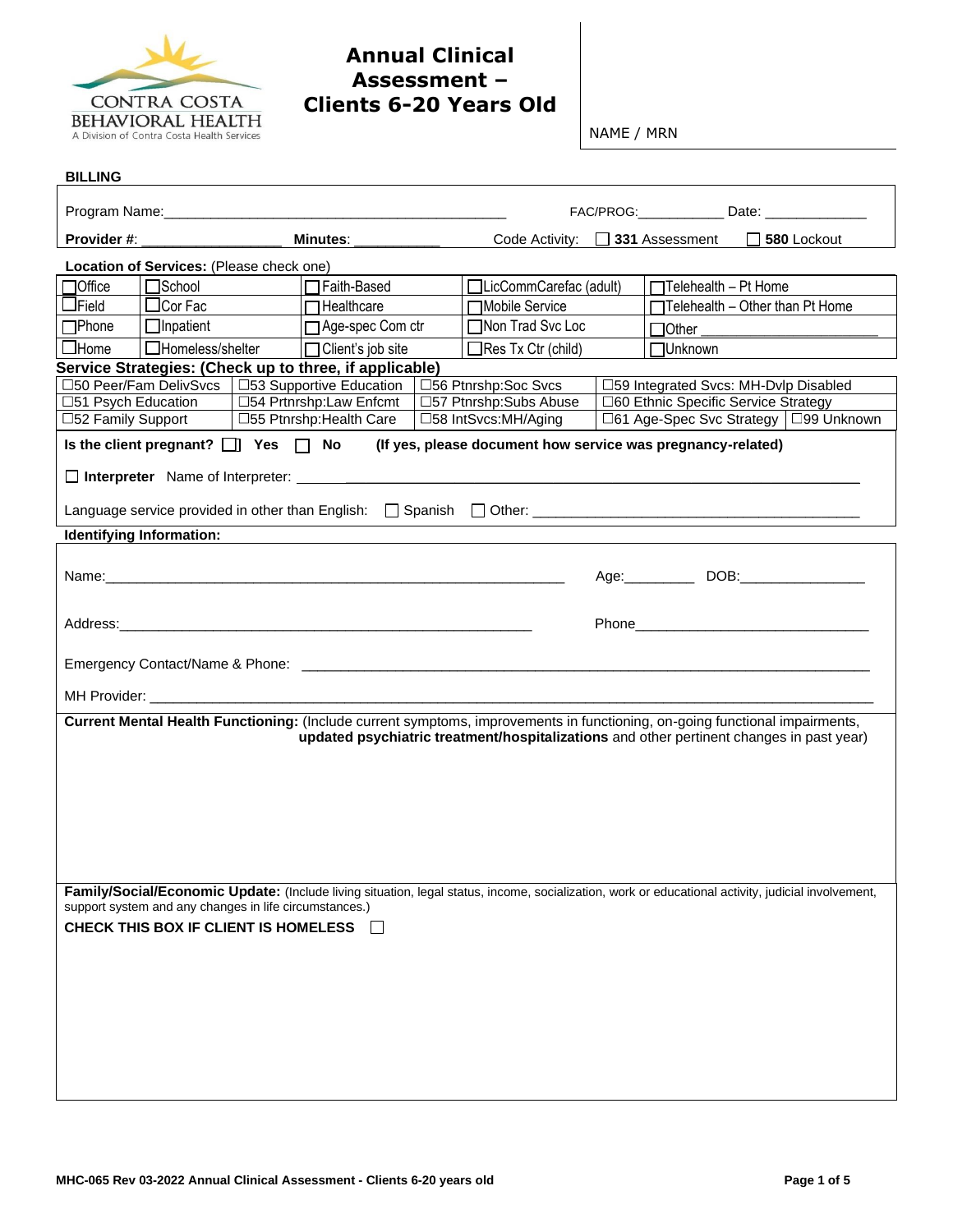

## **Annual Clinical Assessment – Clients 6-20 Years Old**

NAME / MRN

| <b>BILLING</b>                                                                                                                                                                                                          |                                                                                                       |  |                                                                              |  |                                                             |                                      |                                                  |                                                                                                                                                    |
|-------------------------------------------------------------------------------------------------------------------------------------------------------------------------------------------------------------------------|-------------------------------------------------------------------------------------------------------|--|------------------------------------------------------------------------------|--|-------------------------------------------------------------|--------------------------------------|--------------------------------------------------|----------------------------------------------------------------------------------------------------------------------------------------------------|
|                                                                                                                                                                                                                         |                                                                                                       |  |                                                                              |  |                                                             |                                      | FAC/PROG:________________ Date: ________________ |                                                                                                                                                    |
| Provider #:                                                                                                                                                                                                             |                                                                                                       |  | Minutes: ___                                                                 |  | Code Activity:                                              |                                      |                                                  | 331 Assessment 1580 Lockout                                                                                                                        |
|                                                                                                                                                                                                                         | Location of Services: (Please check one)                                                              |  |                                                                              |  |                                                             |                                      |                                                  |                                                                                                                                                    |
| <b>Office</b>                                                                                                                                                                                                           | <b>□</b> School<br>□LicCommCarefac (adult)<br>$\Box$ Telehealth - Pt Home<br>□ Faith-Based            |  |                                                                              |  |                                                             |                                      |                                                  |                                                                                                                                                    |
| $\Box$ Field                                                                                                                                                                                                            | $\Box$ Cor Fac                                                                                        |  | $\Box$ Healthcare                                                            |  | <b>□Mobile Service</b>                                      |                                      |                                                  | $\Box$ Telehealth - Other than Pt Home                                                                                                             |
| <b>T</b> Phone                                                                                                                                                                                                          | $\Box$ Inpatient                                                                                      |  | □ Age-spec Com ctr                                                           |  | □Non Trad Svc Loc                                           |                                      |                                                  | $\Box$ Other                                                                                                                                       |
| $\Box$ Home                                                                                                                                                                                                             | □Homeless/shelter                                                                                     |  | □ Client's job site                                                          |  | $\Box$ Res Tx Ctr (child)                                   |                                      | <b>□Unknown</b>                                  |                                                                                                                                                    |
|                                                                                                                                                                                                                         |                                                                                                       |  | Service Strategies: (Check up to three, if applicable)                       |  |                                                             |                                      |                                                  |                                                                                                                                                    |
| □51 Psych Education                                                                                                                                                                                                     |                                                                                                       |  | □50 Peer/Fam DelivSvcs   □53 Supportive Education<br>□54 Prtnrshp:Law Enfcmt |  | □56 Ptnrshp:Soc Svcs<br>□57 Ptnrshp:Subs Abuse              | □60 Ethnic Specific Service Strategy |                                                  | □59 Integrated Svcs: MH-Dvlp Disabled                                                                                                              |
| □52 Family Support                                                                                                                                                                                                      |                                                                                                       |  | □55 Ptnrshp: Health Care                                                     |  | □58 IntSvcs:MH/Aging                                        |                                      |                                                  | □61 Age-Spec Svc Strategy   □99 Unknown                                                                                                            |
|                                                                                                                                                                                                                         | Is the client pregnant? $\Box$ Yes $\Box$ No                                                          |  |                                                                              |  | (If yes, please document how service was pregnancy-related) |                                      |                                                  |                                                                                                                                                    |
|                                                                                                                                                                                                                         |                                                                                                       |  |                                                                              |  |                                                             |                                      |                                                  |                                                                                                                                                    |
|                                                                                                                                                                                                                         |                                                                                                       |  |                                                                              |  |                                                             |                                      |                                                  |                                                                                                                                                    |
|                                                                                                                                                                                                                         | Identifying Information:                                                                              |  |                                                                              |  |                                                             |                                      |                                                  |                                                                                                                                                    |
| Age: DOB: DOB:                                                                                                                                                                                                          |                                                                                                       |  |                                                                              |  |                                                             |                                      |                                                  |                                                                                                                                                    |
|                                                                                                                                                                                                                         |                                                                                                       |  |                                                                              |  |                                                             |                                      |                                                  |                                                                                                                                                    |
|                                                                                                                                                                                                                         |                                                                                                       |  |                                                                              |  |                                                             |                                      |                                                  |                                                                                                                                                    |
|                                                                                                                                                                                                                         |                                                                                                       |  |                                                                              |  |                                                             |                                      |                                                  |                                                                                                                                                    |
| Current Mental Health Functioning: (Include current symptoms, improvements in functioning, on-going functional impairments,<br>updated psychiatric treatment/hospitalizations and other pertinent changes in past year) |                                                                                                       |  |                                                                              |  |                                                             |                                      |                                                  |                                                                                                                                                    |
|                                                                                                                                                                                                                         | support system and any changes in life circumstances.)<br>CHECK THIS BOX IF CLIENT IS HOMELESS $\Box$ |  |                                                                              |  |                                                             |                                      |                                                  | Family/Social/Economic Update: (Include living situation, legal status, income, socialization, work or educational activity, judicial involvement, |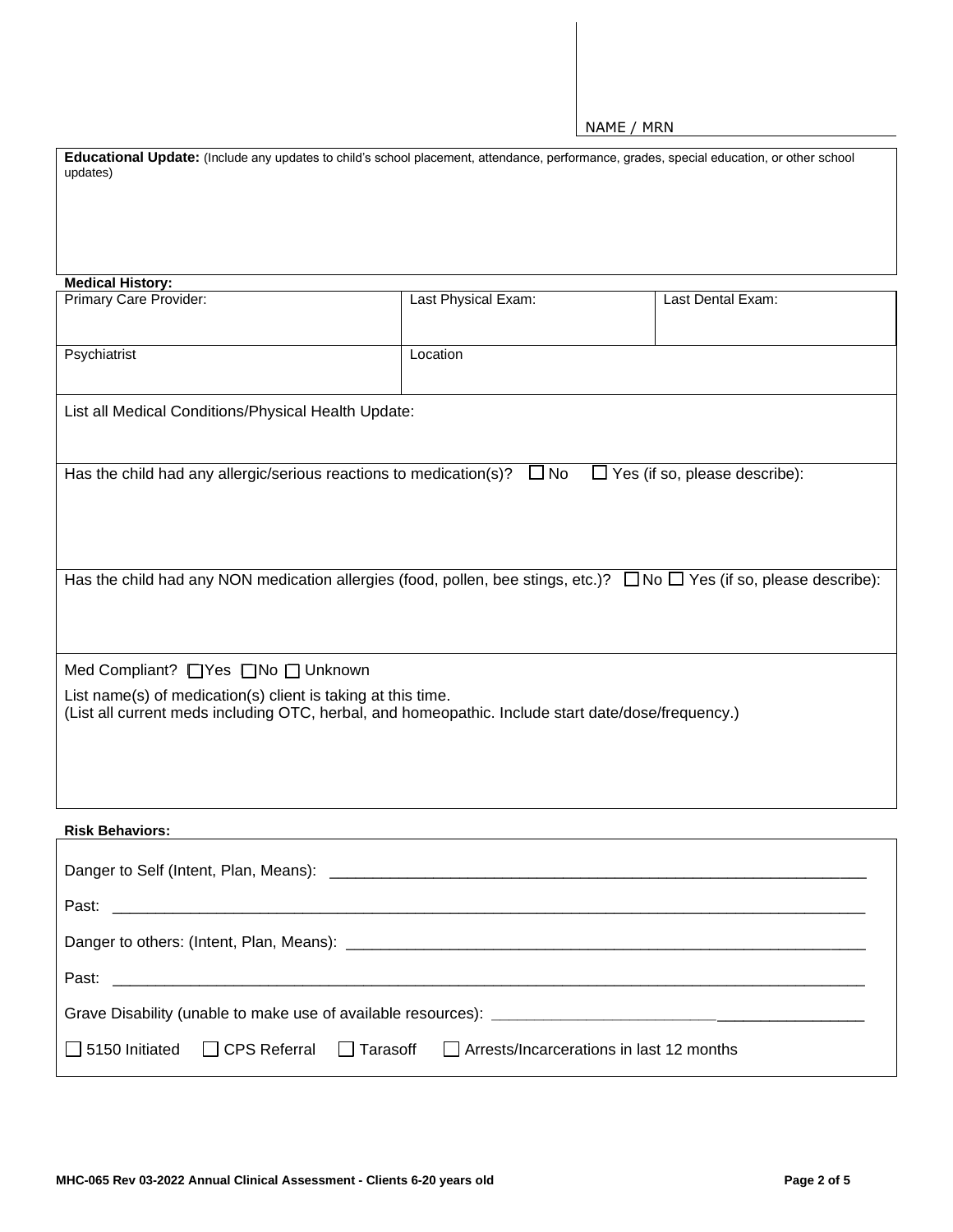NAME / MRN

| Educational Update: (Include any updates to child's school placement, attendance, performance, grades, special education, or other school<br>updates)              |                     |                   |  |  |  |  |
|--------------------------------------------------------------------------------------------------------------------------------------------------------------------|---------------------|-------------------|--|--|--|--|
|                                                                                                                                                                    |                     |                   |  |  |  |  |
|                                                                                                                                                                    |                     |                   |  |  |  |  |
| <b>Medical History:</b>                                                                                                                                            |                     |                   |  |  |  |  |
| Primary Care Provider:                                                                                                                                             | Last Physical Exam: | Last Dental Exam: |  |  |  |  |
| Psychiatrist                                                                                                                                                       | Location            |                   |  |  |  |  |
| List all Medical Conditions/Physical Health Update:                                                                                                                |                     |                   |  |  |  |  |
|                                                                                                                                                                    |                     |                   |  |  |  |  |
| Has the child had any allergic/serious reactions to medication(s)?<br>$\Box$ No<br>$\Box$ Yes (if so, please describe):                                            |                     |                   |  |  |  |  |
|                                                                                                                                                                    |                     |                   |  |  |  |  |
| Has the child had any NON medication allergies (food, pollen, bee stings, etc.)? $\Box$ No $\Box$ Yes (if so, please describe):                                    |                     |                   |  |  |  |  |
|                                                                                                                                                                    |                     |                   |  |  |  |  |
| Med Compliant? □ Yes □ No □ Unknown                                                                                                                                |                     |                   |  |  |  |  |
| List name(s) of medication(s) client is taking at this time.<br>(List all current meds including OTC, herbal, and homeopathic. Include start date/dose/frequency.) |                     |                   |  |  |  |  |
|                                                                                                                                                                    |                     |                   |  |  |  |  |
|                                                                                                                                                                    |                     |                   |  |  |  |  |
| <b>Risk Behaviors:</b>                                                                                                                                             |                     |                   |  |  |  |  |
|                                                                                                                                                                    |                     |                   |  |  |  |  |
| Past:                                                                                                                                                              |                     |                   |  |  |  |  |
|                                                                                                                                                                    |                     |                   |  |  |  |  |
| Past:                                                                                                                                                              |                     |                   |  |  |  |  |
|                                                                                                                                                                    |                     |                   |  |  |  |  |
| $\Box$ Arrests/Incarcerations in last 12 months<br>5150 Initiated<br><b>CPS Referral</b><br>Tarasoff                                                               |                     |                   |  |  |  |  |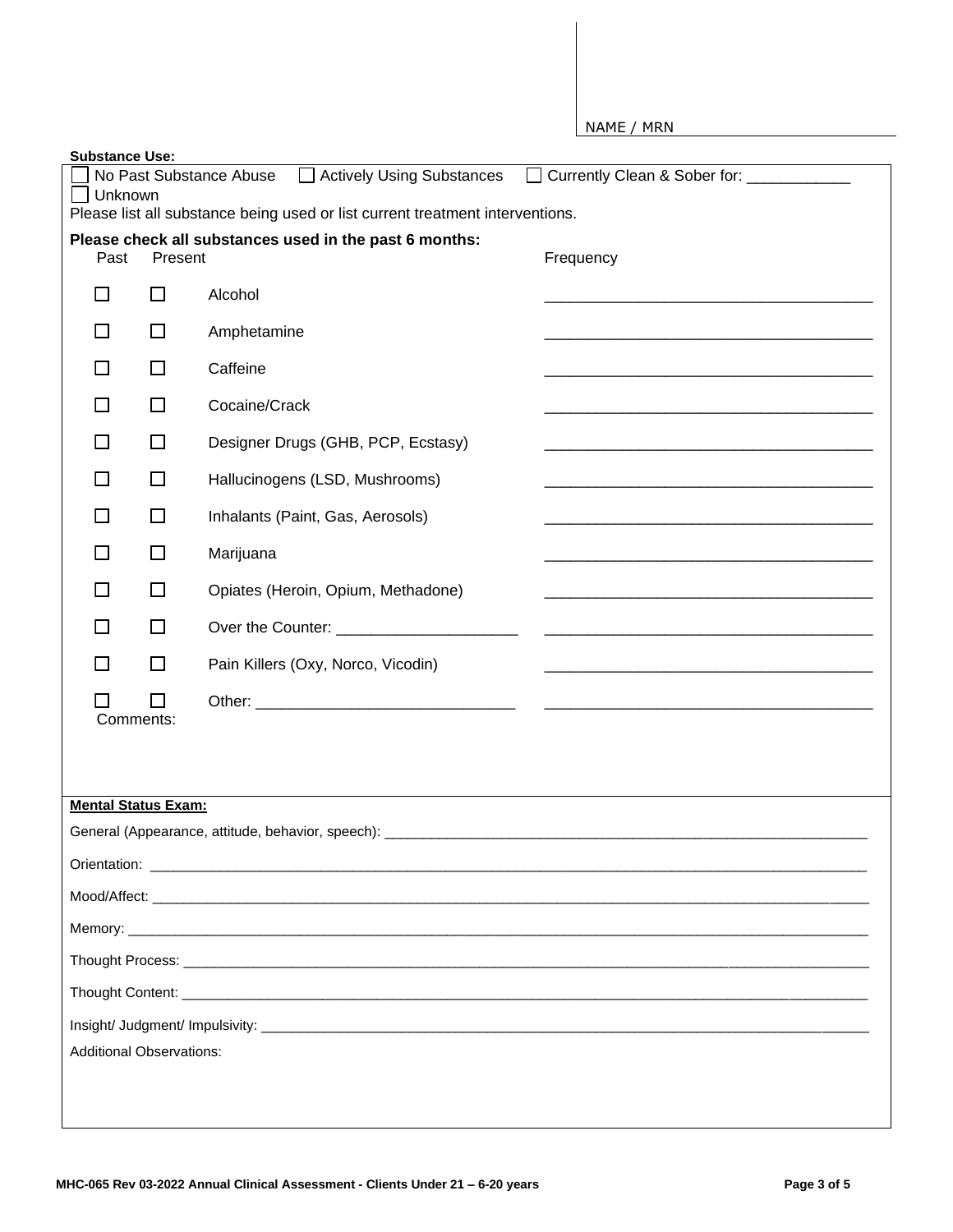|                                 |           |                                                                                                                                      |  | NAME / MRN                               |  |
|---------------------------------|-----------|--------------------------------------------------------------------------------------------------------------------------------------|--|------------------------------------------|--|
| <b>Substance Use:</b>           |           |                                                                                                                                      |  |                                          |  |
| Unknown                         |           | No Past Substance Abuse □ Actively Using Substances<br>Please list all substance being used or list current treatment interventions. |  | Currently Clean & Sober for: ___________ |  |
| Past                            | Present   | Please check all substances used in the past 6 months:                                                                               |  | Frequency                                |  |
| П                               | $\Box$    | Alcohol                                                                                                                              |  |                                          |  |
| ΙI                              | $\Box$    | Amphetamine                                                                                                                          |  |                                          |  |
| $\Box$                          | $\Box$    | Caffeine                                                                                                                             |  |                                          |  |
| П                               | □         | Cocaine/Crack                                                                                                                        |  |                                          |  |
| □                               | $\Box$    | Designer Drugs (GHB, PCP, Ecstasy)                                                                                                   |  |                                          |  |
| П                               | □         | Hallucinogens (LSD, Mushrooms)                                                                                                       |  |                                          |  |
| □                               | $\Box$    | Inhalants (Paint, Gas, Aerosols)                                                                                                     |  |                                          |  |
| □                               | □         | Marijuana                                                                                                                            |  |                                          |  |
| □                               | □         | Opiates (Heroin, Opium, Methadone)                                                                                                   |  |                                          |  |
| П                               | $\Box$    | Over the Counter: ________________________                                                                                           |  |                                          |  |
| П                               | □         | Pain Killers (Oxy, Norco, Vicodin)                                                                                                   |  |                                          |  |
|                                 | Comments: |                                                                                                                                      |  |                                          |  |
|                                 |           |                                                                                                                                      |  |                                          |  |
|                                 |           |                                                                                                                                      |  |                                          |  |
| <b>Mental Status Exam:</b>      |           |                                                                                                                                      |  |                                          |  |
|                                 |           |                                                                                                                                      |  |                                          |  |
|                                 |           |                                                                                                                                      |  |                                          |  |
|                                 |           |                                                                                                                                      |  |                                          |  |
|                                 |           |                                                                                                                                      |  |                                          |  |
|                                 |           |                                                                                                                                      |  |                                          |  |
|                                 |           |                                                                                                                                      |  |                                          |  |
| <b>Additional Observations:</b> |           |                                                                                                                                      |  |                                          |  |
|                                 |           |                                                                                                                                      |  |                                          |  |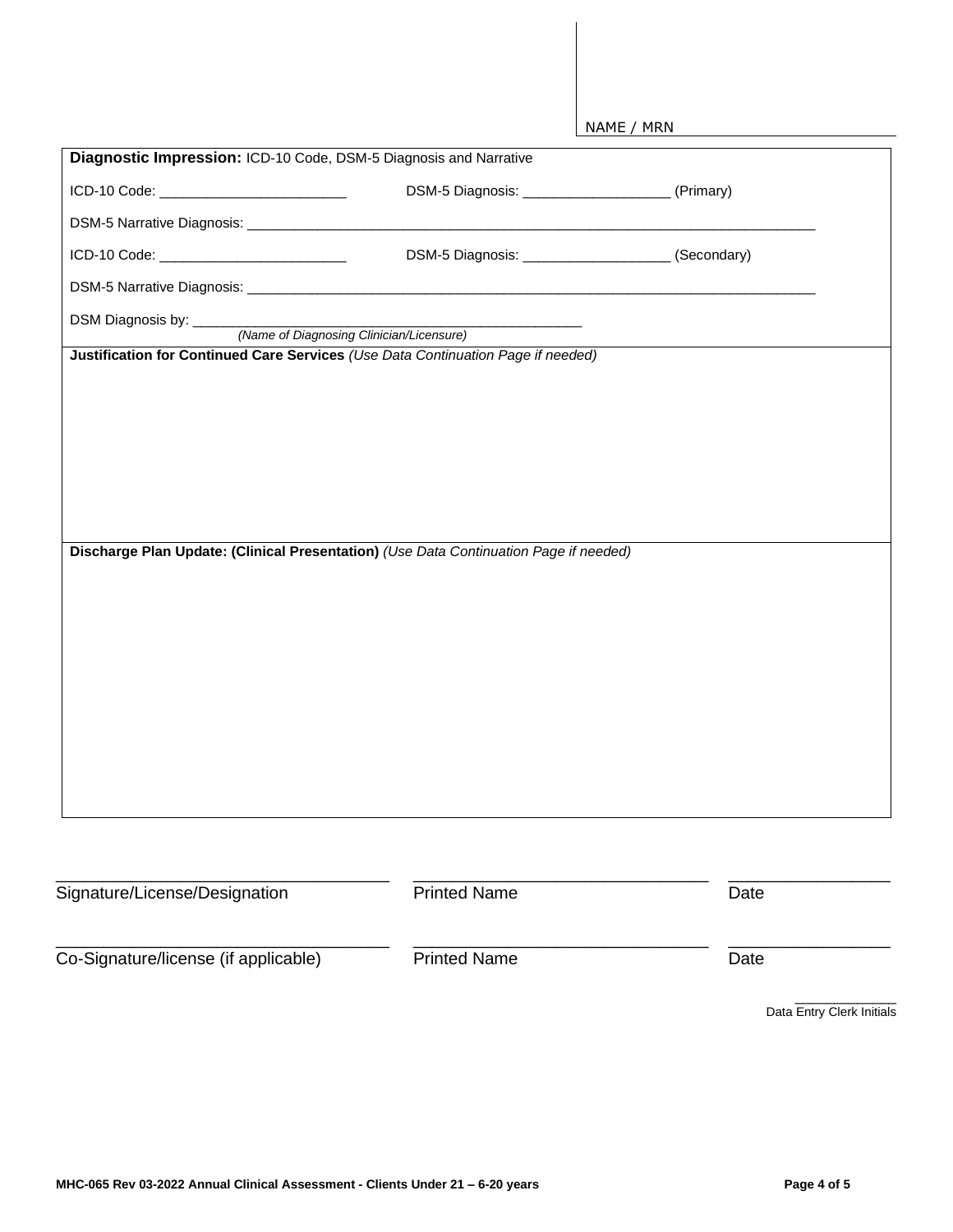| ICD-10 Code: ______________________________                                           |                     | (Secondary)               |
|---------------------------------------------------------------------------------------|---------------------|---------------------------|
|                                                                                       |                     |                           |
| DSM Diagnosis by: <u>(Name of Diagnosing Clinician/Licensure)</u>                     |                     |                           |
| Justification for Continued Care Services (Use Data Continuation Page if needed)      |                     |                           |
|                                                                                       |                     |                           |
|                                                                                       |                     |                           |
|                                                                                       |                     |                           |
|                                                                                       |                     |                           |
|                                                                                       |                     |                           |
|                                                                                       |                     |                           |
| Discharge Plan Update: (Clinical Presentation) (Use Data Continuation Page if needed) |                     |                           |
|                                                                                       |                     |                           |
|                                                                                       |                     |                           |
|                                                                                       |                     |                           |
|                                                                                       |                     |                           |
|                                                                                       |                     |                           |
|                                                                                       |                     |                           |
|                                                                                       |                     |                           |
|                                                                                       |                     |                           |
|                                                                                       |                     |                           |
|                                                                                       |                     |                           |
|                                                                                       |                     |                           |
| Signature/License/Designation                                                         | <b>Printed Name</b> | Date                      |
|                                                                                       |                     |                           |
| Co-Signature/license (if applicable)                                                  | <b>Printed Name</b> | Date                      |
|                                                                                       |                     |                           |
|                                                                                       |                     | Data Entry Clerk Initials |
|                                                                                       |                     |                           |
|                                                                                       |                     |                           |
|                                                                                       |                     |                           |
|                                                                                       |                     |                           |

NAME / MRN

**Diagnostic Impression:** ICD-10 Code, DSM-5 Diagnosis and Narrative

DSM-5 Narrative Diagnosis: \_\_\_\_\_\_\_\_\_\_\_\_\_\_\_\_\_\_\_\_\_\_\_\_\_\_\_\_\_\_\_\_\_\_\_\_\_\_\_\_\_\_\_\_\_\_\_\_\_\_\_\_\_\_\_\_\_\_\_\_\_\_\_\_\_\_\_\_\_\_\_\_\_

ICD-10 Code: \_\_\_\_\_\_\_\_\_\_\_\_\_\_\_\_\_\_\_\_\_\_\_\_ DSM-5 Diagnosis: \_\_\_\_\_\_\_\_\_\_\_\_\_\_\_\_\_\_\_ (Primary)